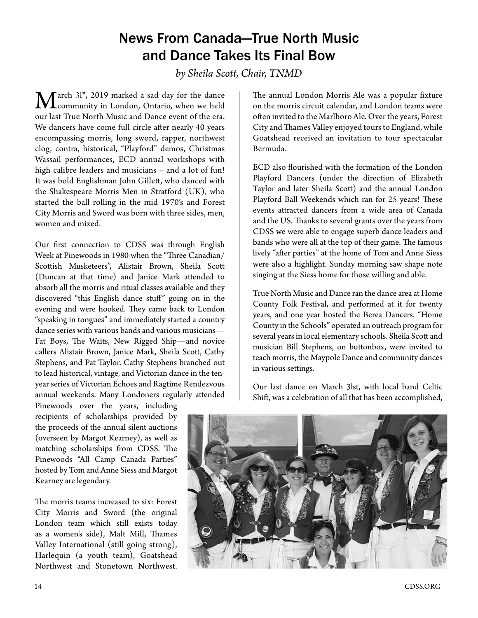## News From Canada—True North Music and Dance Takes Its Final Bow

*by Sheila Scott, Chair, TNMD*

 $\mathbf{M}$ arch 3l<sup>st</sup>, 2019 marked a sad day for the dance **L** community in London, Ontario, when we held our last True North Music and Dance event of the era. We dancers have come full circle after nearly 40 years encompassing morris, long sword, rapper, northwest clog, contra, historical, "Playford" demos, Christmas Wassail performances, ECD annual workshops with high calibre leaders and musicians – and a lot of fun! It was bold Englishman John Gillett, who danced with the Shakespeare Morris Men in Stratford (UK), who started the ball rolling in the mid 1970's and Forest City Morris and Sword was born with three sides, men, women and mixed.

Our first connection to CDSS was through English Week at Pinewoods in 1980 when the "Three Canadian/ Scottish Musketeers", Alistair Brown, Sheila Scott (Duncan at that time) and Janice Mark attended to absorb all the morris and ritual classes available and they discovered "this English dance stuff" going on in the evening and were hooked. They came back to London "speaking in tongues" and immediately started a country dance series with various bands and various musicians— Fat Boys, The Waits, New Rigged Ship—and novice callers Alistair Brown, Janice Mark, Sheila Scott, Cathy Stephens, and Pat Taylor. Cathy Stephens branched out to lead historical, vintage, and Victorian dance in the tenyear series of Victorian Echoes and Ragtime Rendezvous annual weekends. Many Londoners regularly attended

Pinewoods over the years, including recipients of scholarships provided by the proceeds of the annual silent auctions (overseen by Margot Kearney), as well as matching scholarships from CDSS. The Pinewoods "All Camp Canada Parties" hosted by Tom and Anne Siess and Margot Kearney are legendary.

The morris teams increased to six: Forest City Morris and Sword (the original London team which still exists today as a women's side), Malt Mill, Thames Valley International (still going strong), Harlequin (a youth team), Goatshead Northwest and Stonetown Northwest.

The annual London Morris Ale was a popular fixture on the morris circuit calendar, and London teams were often invited to the Marlboro Ale. Over the years, Forest City and Thames Valley enjoyed tours to England, while Goatshead received an invitation to tour spectacular Bermuda.

ECD also flourished with the formation of the London Playford Dancers (under the direction of Elizabeth Taylor and later Sheila Scott) and the annual London Playford Ball Weekends which ran for 25 years! These events attracted dancers from a wide area of Canada and the US. Thanks to several grants over the years from CDSS we were able to engage superb dance leaders and bands who were all at the top of their game. The famous lively "after parties" at the home of Tom and Anne Siess were also a highlight. Sunday morning saw shape note singing at the Siess home for those willing and able.

True North Music and Dance ran the dance area at Home County Folk Festival, and performed at it for twenty years, and one year hosted the Berea Dancers. "Home County in the Schools" operated an outreach program for several years in local elementary schools. Sheila Scott and musician Bill Stephens, on buttonbox, were invited to teach morris, the Maypole Dance and community dances in various settings.

Our last dance on March 3lst, with local band Celtic Shift, was a celebration of all that has been accomplished,